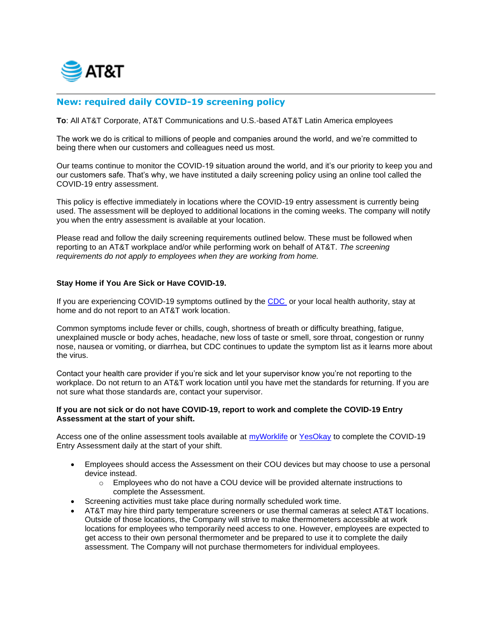

## **New: required daily COVID-19 screening policy**

**To**: All AT&T Corporate, AT&T Communications and U.S.-based AT&T Latin America employees

The work we do is critical to millions of people and companies around the world, and we're committed to being there when our customers and colleagues need us most.

Our teams continue to monitor the COVID-19 situation around the world, and it's our priority to keep you and our customers safe. That's why, we have instituted a daily screening policy using an online tool called the COVID-19 entry assessment.

This policy is effective immediately in locations where the COVID-19 entry assessment is currently being used. The assessment will be deployed to additional locations in the coming weeks. The company will notify you when the entry assessment is available at your location.

Please read and follow the daily screening requirements outlined below. These must be followed when reporting to an AT&T workplace and/or while performing work on behalf of AT&T. *The screening requirements do not apply to employees when they are working from home.*

## **Stay Home if You Are Sick or Have COVID-19.**

If you are experiencing COVID-19 symptoms outlined by the [CDC](https://www.cdc.gov/coronavirus/2019-ncov/symptoms-testing/symptoms.html?CDC_AA_refVal=https%3A%2F%2Fwww.cdc.gov%2Fcoronavirus%2F2019-ncov%2Fabout%2Fsymptoms.html) or your local health authority, stay at home and do not report to an AT&T work location.

Common symptoms include fever or chills, cough, shortness of breath or difficulty breathing, fatigue, unexplained muscle or body aches, headache, new loss of taste or smell, sore throat, congestion or runny nose, nausea or vomiting, or diarrhea, but CDC continues to update the symptom list as it learns more about the virus.

Contact your health care provider if you're sick and let your supervisor know you're not reporting to the workplace. Do not return to an AT&T work location until you have met the standards for returning. If you are not sure what those standards are, contact your supervisor.

## **If you are not sick or do not have COVID-19, report to work and complete the COVID-19 Entry Assessment at the start of your shift.**

Access one of the online assessment tools available at [myWorklife](http://myworklife.web.att.com/mwl/index.cfm) or [YesOkay](https://www.e-access.att.com/dashboard/yesokay/servlet/download-document?itemId=61) to complete the COVID-19 Entry Assessment daily at the start of your shift.

- Employees should access the Assessment on their COU devices but may choose to use a personal device instead.
	- $\circ$  Employees who do not have a COU device will be provided alternate instructions to complete the Assessment.
- Screening activities must take place during normally scheduled work time.
- AT&T may hire third party temperature screeners or use thermal cameras at select AT&T locations. Outside of those locations, the Company will strive to make thermometers accessible at work locations for employees who temporarily need access to one. However, employees are expected to get access to their own personal thermometer and be prepared to use it to complete the daily assessment. The Company will not purchase thermometers for individual employees.